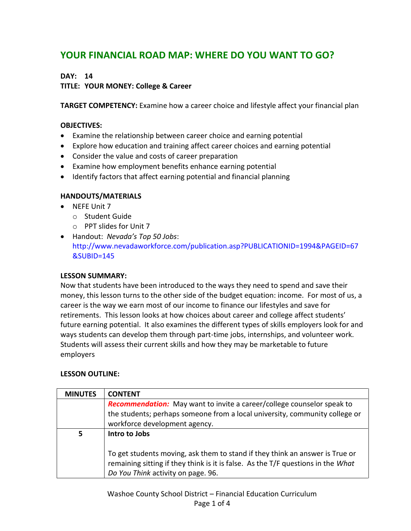# **YOUR FINANCIAL ROAD MAP: WHERE DO YOU WANT TO GO?**

# **DAY: 14**

# **TITLE: YOUR MONEY: College & Career**

**TARGET COMPETENCY:** Examine how a career choice and lifestyle affect your financial plan

## **OBJECTIVES:**

- Examine the relationship between career choice and earning potential
- Explore how education and training affect career choices and earning potential
- Consider the value and costs of career preparation
- Examine how employment benefits enhance earning potential
- Identify factors that affect earning potential and financial planning

## **HANDOUTS/MATERIALS**

- NEFE Unit 7
	- o Student Guide
	- o PPT slides for Unit 7
- Handout: *Nevada's Top 50 Jobs*: http://www.nevadaworkforce.com/publication.asp?PUBLICATIONID=1994&PAGEID=67 &SUBID=145

## **LESSON SUMMARY:**

Now that students have been introduced to the ways they need to spend and save their money, this lesson turns to the other side of the budget equation: income. For most of us, a career is the way we earn most of our income to finance our lifestyles and save for retirements. This lesson looks at how choices about career and college affect students' future earning potential. It also examines the different types of skills employers look for and ways students can develop them through part-time jobs, internships, and volunteer work. Students will assess their current skills and how they may be marketable to future employers

## **LESSON OUTLINE:**

| <b>MINUTES</b> | <b>CONTENT</b>                                                                   |
|----------------|----------------------------------------------------------------------------------|
|                | Recommendation: May want to invite a career/college counselor speak to           |
|                | the students; perhaps someone from a local university, community college or      |
|                | workforce development agency.                                                    |
| 5              | Intro to Jobs                                                                    |
|                |                                                                                  |
|                | To get students moving, ask them to stand if they think an answer is True or     |
|                | remaining sitting if they think is it is false. As the T/F questions in the What |
|                | Do You Think activity on page. 96.                                               |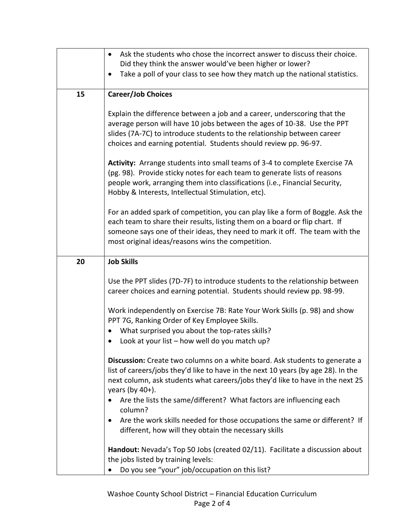|    | Ask the students who chose the incorrect answer to discuss their choice.<br>$\bullet$                                                                                                                                                                                                              |
|----|----------------------------------------------------------------------------------------------------------------------------------------------------------------------------------------------------------------------------------------------------------------------------------------------------|
|    | Did they think the answer would've been higher or lower?                                                                                                                                                                                                                                           |
|    | Take a poll of your class to see how they match up the national statistics.                                                                                                                                                                                                                        |
| 15 | <b>Career/Job Choices</b>                                                                                                                                                                                                                                                                          |
|    | Explain the difference between a job and a career, underscoring that the<br>average person will have 10 jobs between the ages of 10-38. Use the PPT<br>slides (7A-7C) to introduce students to the relationship between career<br>choices and earning potential. Students should review pp. 96-97. |
|    | Activity: Arrange students into small teams of 3-4 to complete Exercise 7A<br>(pg. 98). Provide sticky notes for each team to generate lists of reasons<br>people work, arranging them into classifications (i.e., Financial Security,<br>Hobby & Interests, Intellectual Stimulation, etc).       |
|    | For an added spark of competition, you can play like a form of Boggle. Ask the<br>each team to share their results, listing them on a board or flip chart. If<br>someone says one of their ideas, they need to mark it off. The team with the<br>most original ideas/reasons wins the competition. |
| 20 | <b>Job Skills</b>                                                                                                                                                                                                                                                                                  |
|    | Use the PPT slides (7D-7F) to introduce students to the relationship between<br>career choices and earning potential. Students should review pp. 98-99.                                                                                                                                            |
|    | Work independently on Exercise 7B: Rate Your Work Skills (p. 98) and show<br>PPT 7G, Ranking Order of Key Employee Skills.                                                                                                                                                                         |
|    | What surprised you about the top-rates skills?                                                                                                                                                                                                                                                     |
|    | Look at your list - how well do you match up?<br>$\bullet$                                                                                                                                                                                                                                         |
|    | Discussion: Create two columns on a white board. Ask students to generate a<br>list of careers/jobs they'd like to have in the next 10 years (by age 28). In the<br>next column, ask students what careers/jobs they'd like to have in the next 25<br>years (by $40+$ ).                           |
|    | Are the lists the same/different? What factors are influencing each<br>column?                                                                                                                                                                                                                     |
|    | Are the work skills needed for those occupations the same or different? If<br>$\bullet$<br>different, how will they obtain the necessary skills                                                                                                                                                    |
|    | Handout: Nevada's Top 50 Jobs (created 02/11). Facilitate a discussion about<br>the jobs listed by training levels:                                                                                                                                                                                |
|    | Do you see "your" job/occupation on this list?                                                                                                                                                                                                                                                     |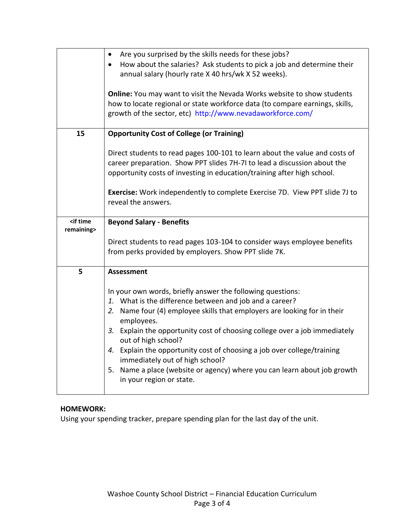|                                                                  | Are you surprised by the skills needs for these jobs?                               |
|------------------------------------------------------------------|-------------------------------------------------------------------------------------|
|                                                                  | How about the salaries? Ask students to pick a job and determine their<br>$\bullet$ |
|                                                                  | annual salary (hourly rate X 40 hrs/wk X 52 weeks).                                 |
|                                                                  |                                                                                     |
|                                                                  | Online: You may want to visit the Nevada Works website to show students             |
|                                                                  | how to locate regional or state workforce data (to compare earnings, skills,        |
|                                                                  |                                                                                     |
|                                                                  | growth of the sector, etc) http://www.nevadaworkforce.com/                          |
|                                                                  |                                                                                     |
| 15                                                               | <b>Opportunity Cost of College (or Training)</b>                                    |
|                                                                  |                                                                                     |
|                                                                  | Direct students to read pages 100-101 to learn about the value and costs of         |
|                                                                  | career preparation. Show PPT slides 7H-7I to lead a discussion about the            |
|                                                                  | opportunity costs of investing in education/training after high school.             |
|                                                                  |                                                                                     |
|                                                                  | <b>Exercise:</b> Work independently to complete Exercise 7D. View PPT slide 7J to   |
|                                                                  | reveal the answers.                                                                 |
|                                                                  |                                                                                     |
| <if th="" time<=""><th><b>Beyond Salary - Benefits</b></th></if> | <b>Beyond Salary - Benefits</b>                                                     |
| remaining>                                                       |                                                                                     |
|                                                                  |                                                                                     |
|                                                                  | Direct students to read pages 103-104 to consider ways employee benefits            |
|                                                                  | from perks provided by employers. Show PPT slide 7K.                                |
|                                                                  |                                                                                     |
| 5                                                                | <b>Assessment</b>                                                                   |
|                                                                  |                                                                                     |
|                                                                  | In your own words, briefly answer the following questions:                          |
|                                                                  | 1. What is the difference between and job and a career?                             |
|                                                                  | 2. Name four (4) employee skills that employers are looking for in their            |
|                                                                  | employees.                                                                          |
|                                                                  | 3. Explain the opportunity cost of choosing college over a job immediately          |
|                                                                  | out of high school?                                                                 |
|                                                                  | 4. Explain the opportunity cost of choosing a job over college/training             |
|                                                                  |                                                                                     |
|                                                                  | immediately out of high school?                                                     |
|                                                                  | 5. Name a place (website or agency) where you can learn about job growth            |
|                                                                  | in your region or state.                                                            |
|                                                                  |                                                                                     |

# **HOMEWORK:**

Using your spending tracker, prepare spending plan for the last day of the unit.